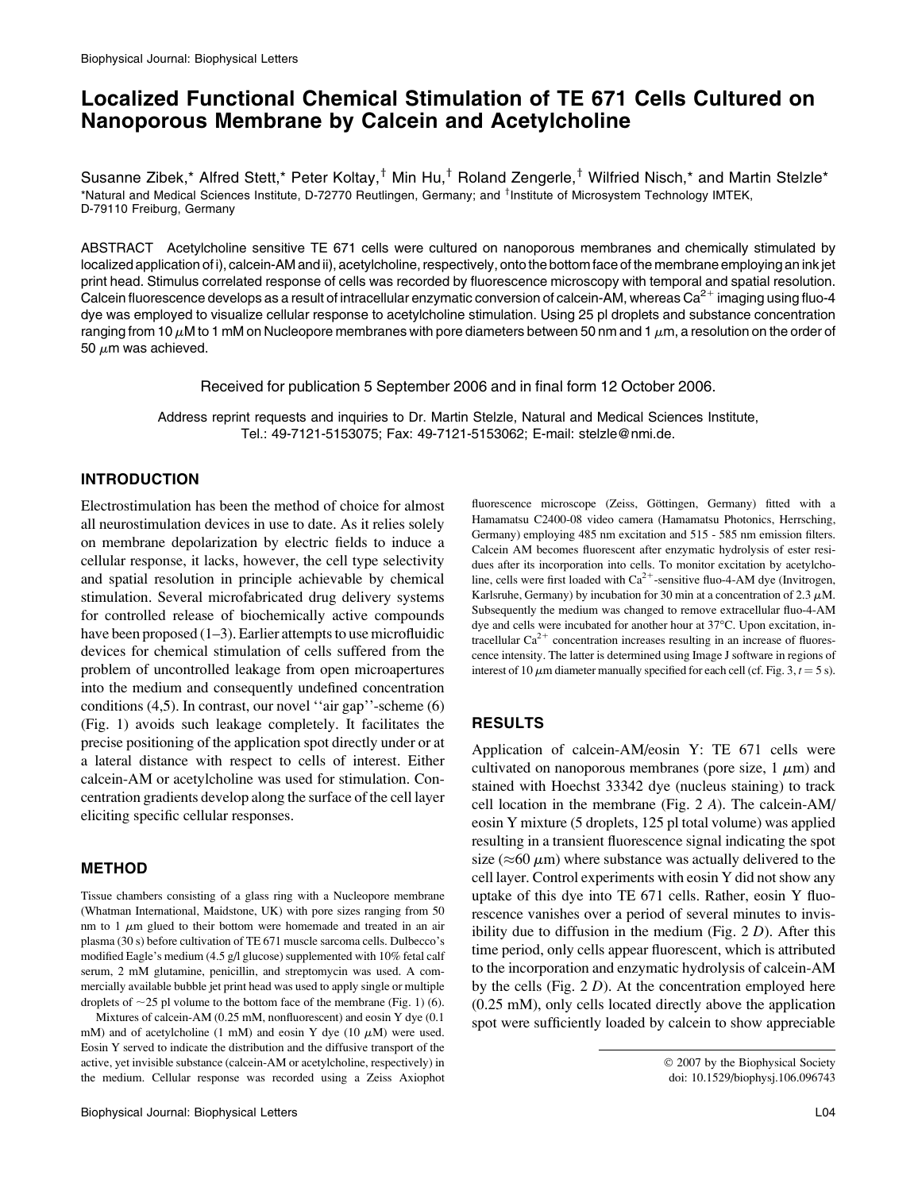# Localized Functional Chemical Stimulation of TE 671 Cells Cultured on Nanoporous Membrane by Calcein and Acetylcholine

Susanne Zibek,\* Alfred Stett,\* Peter Koltay,<sup>†</sup> Min Hu,<sup>†</sup> Roland Zengerle,<sup>†</sup> Wilfried Nisch,\* and Martin Stelzle\* \*Natural and Medical Sciences Institute, D-72770 Reutlingen, Germany; and <sup>†</sup>Institute of Microsystem Technology IMTEK, D-79110 Freiburg, Germany

ABSTRACT Acetylcholine sensitive TE 671 cells were cultured on nanoporous membranes and chemically stimulated by localized application of i), calcein-AM and ii), acetylcholine, respectively, onto the bottom face of the membrane employing an ink jet print head. Stimulus correlated response of cells was recorded by fluorescence microscopy with temporal and spatial resolution. Calcein fluorescence develops as a result of intracellular enzymatic conversion of calcein-AM, whereas Ca<sup>2+</sup> imaging using fluo-4 dye was employed to visualize cellular response to acetylcholine stimulation. Using 25 pl droplets and substance concentration ranging from 10  $\mu$ M to 1 mM on Nucleopore membranes with pore diameters between 50 nm and 1  $\mu$ m, a resolution on the order of 50  $\mu$ m was achieved.

Received for publication 5 September 2006 and in final form 12 October 2006.

Address reprint requests and inquiries to Dr. Martin Stelzle, Natural and Medical Sciences Institute, Tel.: 49-7121-5153075; Fax: 49-7121-5153062; E-mail: stelzle@nmi.de.

## INTRODUCTION

Electrostimulation has been the method of choice for almost all neurostimulation devices in use to date. As it relies solely on membrane depolarization by electric fields to induce a cellular response, it lacks, however, the cell type selectivity and spatial resolution in principle achievable by chemical stimulation. Several microfabricated drug delivery systems for controlled release of biochemically active compounds have been proposed (1–3). Earlier attempts to use microfluidic devices for chemical stimulation of cells suffered from the problem of uncontrolled leakage from open microapertures into the medium and consequently undefined concentration conditions (4,5). In contrast, our novel ''air gap''-scheme (6) (Fig. 1) avoids such leakage completely. It facilitates the precise positioning of the application spot directly under or at a lateral distance with respect to cells of interest. Either calcein-AM or acetylcholine was used for stimulation. Concentration gradients develop along the surface of the cell layer eliciting specific cellular responses.

### METHOD

Tissue chambers consisting of a glass ring with a Nucleopore membrane (Whatman International, Maidstone, UK) with pore sizes ranging from 50 nm to 1  $\mu$ m glued to their bottom were homemade and treated in an air plasma (30 s) before cultivation of TE 671 muscle sarcoma cells. Dulbecco's modified Eagle's medium (4.5 g/l glucose) supplemented with 10% fetal calf serum, 2 mM glutamine, penicillin, and streptomycin was used. A commercially available bubble jet print head was used to apply single or multiple droplets of  $\sim$ 25 pl volume to the bottom face of the membrane (Fig. 1) (6).

Mixtures of calcein-AM (0.25 mM, nonfluorescent) and eosin Y dye (0.1 mM) and of acetylcholine (1 mM) and eosin Y dye (10  $\mu$ M) were used. Eosin Y served to indicate the distribution and the diffusive transport of the active, yet invisible substance (calcein-AM or acetylcholine, respectively) in the medium. Cellular response was recorded using a Zeiss Axiophot fluorescence microscope (Zeiss, Göttingen, Germany) fitted with a Hamamatsu C2400-08 video camera (Hamamatsu Photonics, Herrsching, Germany) employing 485 nm excitation and 515 - 585 nm emission filters. Calcein AM becomes fluorescent after enzymatic hydrolysis of ester residues after its incorporation into cells. To monitor excitation by acetylcholine, cells were first loaded with  $Ca^{2+}$ -sensitive fluo-4-AM dye (Invitrogen, Karlsruhe, Germany) by incubation for 30 min at a concentration of 2.3  $\mu$ M. Subsequently the medium was changed to remove extracellular fluo-4-AM dye and cells were incubated for another hour at 37°C. Upon excitation, intracellular  $Ca^{2+}$  concentration increases resulting in an increase of fluorescence intensity. The latter is determined using Image J software in regions of interest of 10  $\mu$ m diameter manually specified for each cell (cf. Fig. 3,  $t = 5$  s).

### RESULTS

Application of calcein-AM/eosin Y: TE 671 cells were cultivated on nanoporous membranes (pore size,  $1 \mu m$ ) and stained with Hoechst 33342 dye (nucleus staining) to track cell location in the membrane (Fig. 2 A). The calcein-AM/ eosin Y mixture (5 droplets, 125 pl total volume) was applied resulting in a transient fluorescence signal indicating the spot size ( $\approx$ 60  $\mu$ m) where substance was actually delivered to the cell layer. Control experiments with eosin Y did not show any uptake of this dye into TE 671 cells. Rather, eosin Y fluorescence vanishes over a period of several minutes to invisibility due to diffusion in the medium (Fig.  $2 D$ ). After this time period, only cells appear fluorescent, which is attributed to the incorporation and enzymatic hydrolysis of calcein-AM by the cells (Fig.  $2 D$ ). At the concentration employed here (0.25 mM), only cells located directly above the application spot were sufficiently loaded by calcein to show appreciable

2007 by the Biophysical Society doi: 10.1529/biophysj.106.096743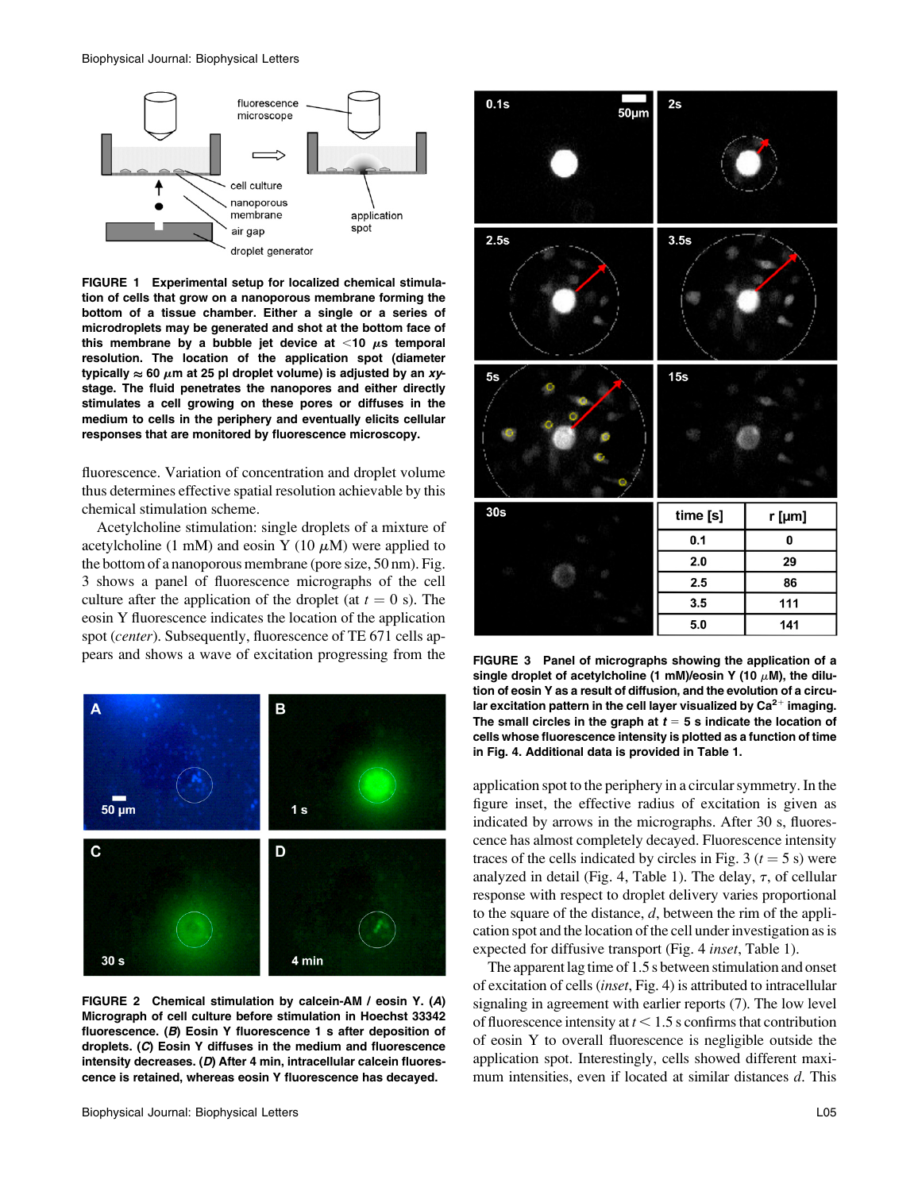

FIGURE 1 Experimental setup for localized chemical stimulation of cells that grow on a nanoporous membrane forming the bottom of a tissue chamber. Either a single or a series of microdroplets may be generated and shot at the bottom face of this membrane by a bubble jet device at  $<$ 10  $\mu$ s temporal resolution. The location of the application spot (diameter typically  $\approx$  60  $\mu$ m at 25 pl droplet volume) is adjusted by an *xy*stage. The fluid penetrates the nanopores and either directly stimulates a cell growing on these pores or diffuses in the medium to cells in the periphery and eventually elicits cellular responses that are monitored by fluorescence microscopy.

fluorescence. Variation of concentration and droplet volume thus determines effective spatial resolution achievable by this chemical stimulation scheme.

Acetylcholine stimulation: single droplets of a mixture of acetylcholine (1 mM) and eosin Y (10  $\mu$ M) were applied to the bottom of a nanoporous membrane (pore size, 50 nm). Fig. 3 shows a panel of fluorescence micrographs of the cell culture after the application of the droplet (at  $t = 0$  s). The eosin Y fluorescence indicates the location of the application spot (center). Subsequently, fluorescence of TE 671 cells appears and shows a wave of excitation progressing from the



FIGURE 2 Chemical stimulation by calcein-AM / eosin Y. (A) Micrograph of cell culture before stimulation in Hoechst 33342 fluorescence. (B) Eosin Y fluorescence 1 s after deposition of droplets. (C) Eosin Y diffuses in the medium and fluorescence intensity decreases. (D) After 4 min, intracellular calcein fluorescence is retained, whereas eosin Y fluorescence has decayed.



FIGURE 3 Panel of micrographs showing the application of a single droplet of acetylcholine (1 mM)/eosin Y (10  $\mu$ M), the dilution of eosin Y as a result of diffusion, and the evolution of a circular excitation pattern in the cell layer visualized by  $Ca^{2+}$  imaging. The small circles in the graph at  $t = 5$  s indicate the location of cells whose fluorescence intensity is plotted as a function of time in Fig. 4. Additional data is provided in Table 1.

application spot to the periphery in a circular symmetry. In the figure inset, the effective radius of excitation is given as indicated by arrows in the micrographs. After 30 s, fluorescence has almost completely decayed. Fluorescence intensity traces of the cells indicated by circles in Fig. 3 ( $t = 5$  s) were analyzed in detail (Fig. 4, Table 1). The delay,  $\tau$ , of cellular response with respect to droplet delivery varies proportional to the square of the distance,  $d$ , between the rim of the application spot and the location of the cell under investigation as is expected for diffusive transport (Fig. 4 inset, Table 1).

The apparent lag time of 1.5 s between stimulation and onset of excitation of cells (inset, Fig. 4) is attributed to intracellular signaling in agreement with earlier reports (7). The low level of fluorescence intensity at  $t < 1.5$  s confirms that contribution of eosin Y to overall fluorescence is negligible outside the application spot. Interestingly, cells showed different maximum intensities, even if located at similar distances d. This